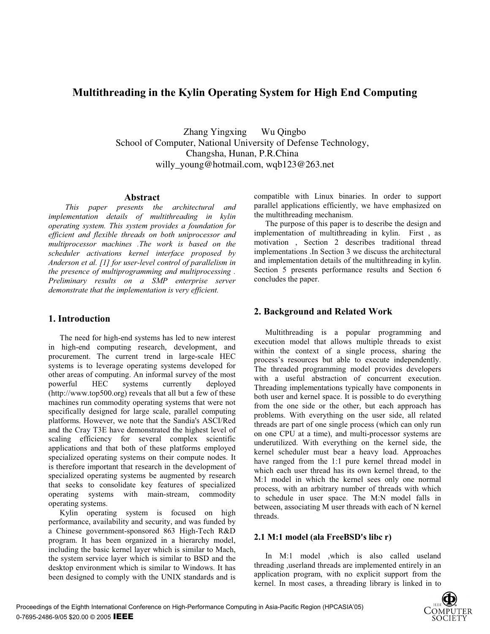# **Multithreading in the Kylin Operating System for High End Computing**

Zhang Yingxing Wu Qingbo School of Computer, National University of Defense Technology, Changsha, Hunan, P.R.China willy\_young@hotmail.com, wqb123@263.net

#### **Abstract**

*This paper presents the architectural and implementation details of multithreading in kylin operating system. This system provides a foundation for efficient and flexible threads on both uniprocessor and multiprocessor machines .The work is based on the scheduler activations kernel interface proposed by Anderson et al. [1] for user-level control of parallelism in the presence of multiprogramming and multiprocessing . Preliminary results on a SMP enterprise server demonstrate that the implementation is very efficient.* 

### **1. Introduction**

The need for high-end systems has led to new interest in high-end computing research, development, and procurement. The current trend in large-scale HEC systems is to leverage operating systems developed for other areas of computing. An informal survey of the most powerful HEC systems currently deployed (http://www.top500.org) reveals that all but a few of these machines run commodity operating systems that were not specifically designed for large scale, parallel computing platforms. However, we note that the Sandia's ASCI/Red and the Cray T3E have demonstrated the highest level of scaling efficiency for several complex scientific applications and that both of these platforms employed specialized operating systems on their compute nodes. It is therefore important that research in the development of specialized operating systems be augmented by research that seeks to consolidate key features of specialized operating systems with main-stream, commodity operating systems.

Kylin operating system is focused on high performance, availability and security, and was funded by a Chinese government-sponsored 863 High-Tech R&D program. It has been organized in a hierarchy model, including the basic kernel layer which is similar to Mach, the system service layer which is similar to BSD and the desktop environment which is similar to Windows. It has been designed to comply with the UNIX standards and is

compatible with Linux binaries. In order to support parallel applications efficiently, we have emphasized on the multithreading mechanism.

The purpose of this paper is to describe the design and implementation of multithreading in kylin. First , as motivation , Section 2 describes traditional thread implementations .In Section 3 we discuss the architectural and implementation details of the multithreading in kylin. Section 5 presents performance results and Section 6 concludes the paper.

## **2. Background and Related Work**

Multithreading is a popular programming and execution model that allows multiple threads to exist within the context of a single process, sharing the process's resources but able to execute independently. The threaded programming model provides developers with a useful abstraction of concurrent execution. Threading implementations typically have components in both user and kernel space. It is possible to do everything from the one side or the other, but each approach has problems. With everything on the user side, all related threads are part of one single process (which can only run on one CPU at a time), and multi-processor systems are underutilized. With everything on the kernel side, the kernel scheduler must bear a heavy load. Approaches have ranged from the 1:1 pure kernel thread model in which each user thread has its own kernel thread, to the M:1 model in which the kernel sees only one normal process, with an arbitrary number of threads with which to schedule in user space. The M:N model falls in between, associating M user threads with each of N kernel threads.

### **2.1 M:1 model (ala FreeBSD's libc r)**

In M:1 model ,which is also called useland threading ,userland threads are implemented entirely in an application program, with no explicit support from the kernel. In most cases, a threading library is linked in to

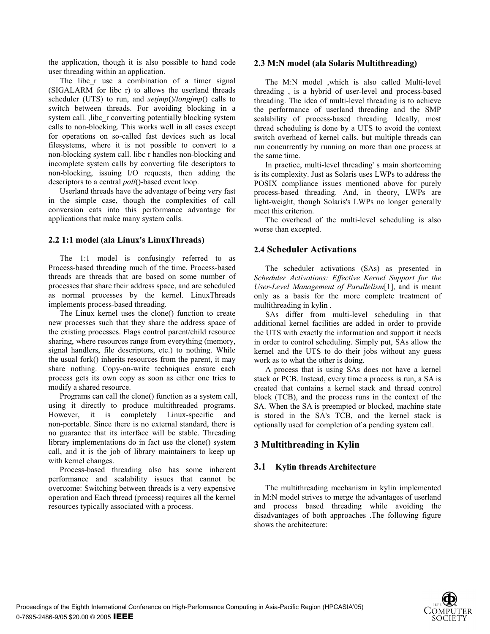the application, though it is also possible to hand code user threading within an application.

The libc r use a combination of a timer signal (SIGALARM for libc r) to allows the userland threads scheduler (UTS) to run, and *setjmp*()/*longjmp*() calls to switch between threads. For avoiding blocking in a system call. , libc r converting potentially blocking system calls to non-blocking. This works well in all cases except for operations on so-called fast devices such as local filesystems, where it is not possible to convert to a non-blocking system call. libc r handles non-blocking and incomplete system calls by converting file descriptors to non-blocking, issuing I/O requests, then adding the descriptors to a central *poll*()-based event loop.

Userland threads have the advantage of being very fast in the simple case, though the complexities of call conversion eats into this performance advantage for applications that make many system calls.

#### **2.2 1:1 model (ala Linux's LinuxThreads)**

The 1:1 model is confusingly referred to as Process-based threading much of the time. Process-based threads are threads that are based on some number of processes that share their address space, and are scheduled as normal processes by the kernel. LinuxThreads implements process-based threading.

The Linux kernel uses the clone() function to create new processes such that they share the address space of the existing processes. Flags control parent/child resource sharing, where resources range from everything (memory, signal handlers, file descriptors, etc.) to nothing. While the usual fork() inherits resources from the parent, it may share nothing. Copy-on-write techniques ensure each process gets its own copy as soon as either one tries to modify a shared resource.

Programs can call the clone() function as a system call, using it directly to produce multithreaded programs. However, it is completely Linux-specific and non-portable. Since there is no external standard, there is no guarantee that its interface will be stable. Threading library implementations do in fact use the clone() system call, and it is the job of library maintainers to keep up with kernel changes.

Process-based threading also has some inherent performance and scalability issues that cannot be overcome: Switching between threads is a very expensive operation and Each thread (process) requires all the kernel resources typically associated with a process.

#### **2.3 M:N model (ala Solaris Multithreading)**

The M:N model ,which is also called Multi-level threading , is a hybrid of user-level and process-based threading. The idea of multi-level threading is to achieve the performance of userland threading and the SMP scalability of process-based threading. Ideally, most thread scheduling is done by a UTS to avoid the context switch overhead of kernel calls, but multiple threads can run concurrently by running on more than one process at the same time.

In practice, multi-level threading' s main shortcoming is its complexity. Just as Solaris uses LWPs to address the POSIX compliance issues mentioned above for purely process-based threading. And, in theory, LWPs are light-weight, though Solaris's LWPs no longer generally meet this criterion.

The overhead of the multi-level scheduling is also worse than excepted.

#### **2.4 Scheduler Activations**

The scheduler activations (SAs) as presented in *Scheduler Activations: Effective Kernel Support for the User-Level Management of Parallelism*[1], and is meant only as a basis for the more complete treatment of multithreading in kylin .

SAs differ from multi-level scheduling in that additional kernel facilities are added in order to provide the UTS with exactly the information and support it needs in order to control scheduling. Simply put, SAs allow the kernel and the UTS to do their jobs without any guess work as to what the other is doing.

A process that is using SAs does not have a kernel stack or PCB. Instead, every time a process is run, a SA is created that contains a kernel stack and thread control block (TCB), and the process runs in the context of the SA. When the SA is preempted or blocked, machine state is stored in the SA's TCB, and the kernel stack is optionally used for completion of a pending system call.

### **3 Multithreading in Kylin**

#### **3.1 Kylin threads Architecture**

The multithreading mechanism in kylin implemented in M:N model strives to merge the advantages of userland and process based threading while avoiding the disadvantages of both approaches .The following figure shows the architecture:

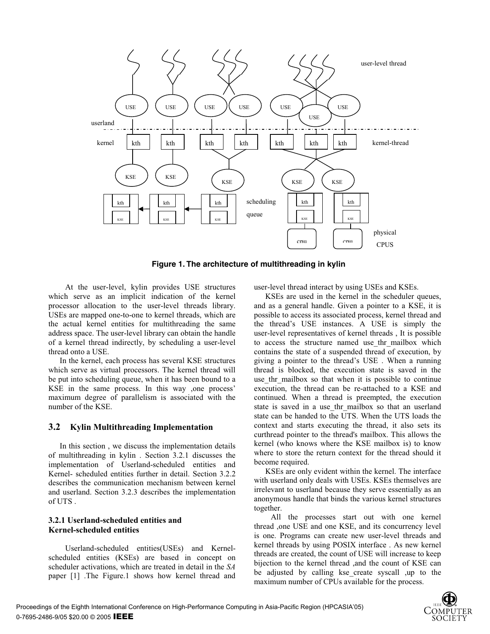

**Figure 1. The architecture of multithreading in kylin** 

At the user-level, kylin provides USE structures which serve as an implicit indication of the kernel processor allocation to the user-level threads library. USEs are mapped one-to-one to kernel threads, which are the actual kernel entities for multithreading the same address space. The user-level library can obtain the handle of a kernel thread indirectly, by scheduling a user-level thread onto a USE.

In the kernel, each process has several KSE structures which serve as virtual processors. The kernel thread will be put into scheduling queue, when it has been bound to a KSE in the same process. In this way ,one process' maximum degree of parallelism is associated with the number of the KSE.

#### **3.2 Kylin Multithreading Implementation**

In this section , we discuss the implementation details of multithreading in kylin . Section 3.2.1 discusses the implementation of Userland-scheduled entities and Kernel- scheduled entities further in detail. Section 3.2.2 describes the communication mechanism between kernel and userland. Section 3.2.3 describes the implementation of UTS .

### **3.2.1 Userland-scheduled entities and Kernel-scheduled entities**

Userland-scheduled entities(USEs) and Kernelscheduled entities (KSEs) are based in concept on scheduler activations, which are treated in detail in the *SA* paper [1] .The Figure.1 shows how kernel thread and user-level thread interact by using USEs and KSEs.

KSEs are used in the kernel in the scheduler queues, and as a general handle. Given a pointer to a KSE, it is possible to access its associated process, kernel thread and the thread's USE instances. A USE is simply the user-level representatives of kernel threads , It is possible to access the structure named use thr mailbox which contains the state of a suspended thread of execution, by giving a pointer to the thread's USE . When a running thread is blocked, the execution state is saved in the use thr mailbox so that when it is possible to continue execution, the thread can be re-attached to a KSE and continued. When a thread is preempted, the execution state is saved in a use thr mailbox so that an userland state can be handed to the UTS. When the UTS loads the context and starts executing the thread, it also sets its curthread pointer to the thread's mailbox. This allows the kernel (who knows where the KSE mailbox is) to know where to store the return context for the thread should it become required.

KSEs are only evident within the kernel. The interface with userland only deals with USEs. KSEs themselves are irrelevant to userland because they serve essentially as an anonymous handle that binds the various kernel structures together.

 All the processes start out with one kernel thread ,one USE and one KSE, and its concurrency level is one. Programs can create new user-level threads and kernel threads by using POSIX interface . As new kernel threads are created, the count of USE will increase to keep bijection to the kernel thread ,and the count of KSE can be adjusted by calling kse create syscall ,up to the maximum number of CPUs available for the process.

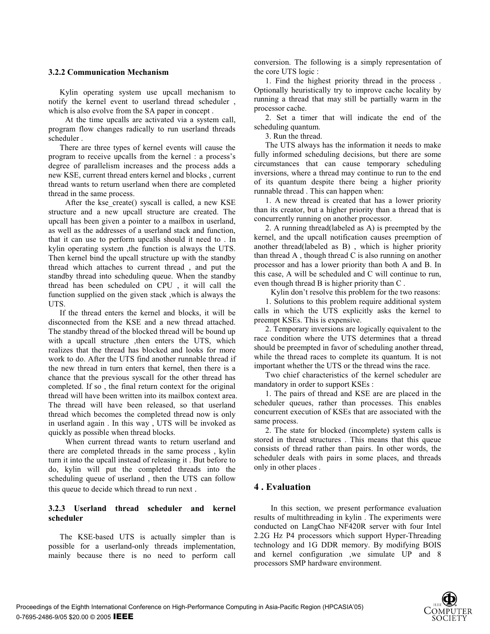#### **3.2.2 Communication Mechanism**

Kylin operating system use upcall mechanism to notify the kernel event to userland thread scheduler , which is also evolve from the SA paper in concept .

 At the time upcalls are activated via a system call, program flow changes radically to run userland threads scheduler .

There are three types of kernel events will cause the program to receive upcalls from the kernel : a process's degree of parallelism increases and the process adds a new KSE, current thread enters kernel and blocks , current thread wants to return userland when there are completed thread in the same process.

After the kse create() syscall is called, a new KSE structure and a new upcall structure are created. The upcall has been given a pointer to a mailbox in userland, as well as the addresses of a userland stack and function, that it can use to perform upcalls should it need to . In kylin operating system ,the function is always the UTS. Then kernel bind the upcall structure up with the standby thread which attaches to current thread , and put the standby thread into scheduling queue. When the standby thread has been scheduled on CPU , it will call the function supplied on the given stack ,which is always the UTS.

If the thread enters the kernel and blocks, it will be disconnected from the KSE and a new thread attached. The standby thread of the blocked thread will be bound up with a upcall structure ,then enters the UTS, which realizes that the thread has blocked and looks for more work to do. After the UTS find another runnable thread if the new thread in turn enters that kernel, then there is a chance that the previous syscall for the other thread has completed. If so , the final return context for the original thread will have been written into its mailbox context area. The thread will have been released, so that userland thread which becomes the completed thread now is only in userland again . In this way , UTS will be invoked as quickly as possible when thread blocks.

 When current thread wants to return userland and there are completed threads in the same process , kylin turn it into the upcall instead of releasing it . But before to do, kylin will put the completed threads into the scheduling queue of userland , then the UTS can follow this queue to decide which thread to run next .

#### **3.2.3 Userland thread scheduler and kernel scheduler**

The KSE-based UTS is actually simpler than is possible for a userland-only threads implementation, mainly because there is no need to perform call conversion. The following is a simply representation of the core UTS logic :

1. Find the highest priority thread in the process . Optionally heuristically try to improve cache locality by running a thread that may still be partially warm in the processor cache.

2. Set a timer that will indicate the end of the scheduling quantum.

3. Run the thread.

The UTS always has the information it needs to make fully informed scheduling decisions, but there are some circumstances that can cause temporary scheduling inversions, where a thread may continue to run to the end of its quantum despite there being a higher priority runnable thread . This can happen when:

1. A new thread is created that has a lower priority than its creator, but a higher priority than a thread that is concurrently running on another processor.

2. A running thread(labeled as A) is preempted by the kernel, and the upcall notification causes preemption of another thread(labeled as B) , which is higher priority than thread A , though thread C is also running on another processor and has a lower priority than both A and B. In this case, A will be scheduled and C will continue to run, even though thread B is higher priority than C .

Kylin don't resolve this problem for the two reasons:

1. Solutions to this problem require additional system calls in which the UTS explicitly asks the kernel to preempt KSEs. This is expensive.

2. Temporary inversions are logically equivalent to the race condition where the UTS determines that a thread should be preempted in favor of scheduling another thread, while the thread races to complete its quantum. It is not important whether the UTS or the thread wins the race.

Two chief characteristics of the kernel scheduler are mandatory in order to support KSEs :

1. The pairs of thread and KSE are are placed in the scheduler queues, rather than processes. This enables concurrent execution of KSEs that are associated with the same process.

2. The state for blocked (incomplete) system calls is stored in thread structures . This means that this queue consists of thread rather than pairs. In other words, the scheduler deals with pairs in some places, and threads only in other places .

### **4 . Evaluation**

In this section, we present performance evaluation results of multithreading in kylin . The experiments were conducted on LangChao NF420R server with four Intel 2.2G Hz P4 processors which support Hyper-Threading technology and 1G DDR memory. By modifying BOIS and kernel configuration ,we simulate UP and 8 processors SMP hardware environment.

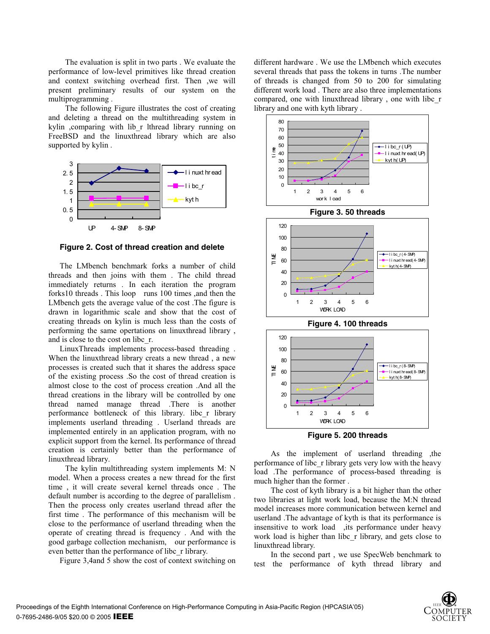The evaluation is split in two parts . We evaluate the performance of low-level primitives like thread creation and context switching overhead first. Then ,we will present preliminary results of our system on the multiprogramming .

 The following Figure illustrates the cost of creating and deleting a thread on the multithreading system in kylin ,comparing with lib r lthread library running on FreeBSD and the linuxthread library which are also supported by kylin .



**Figure 2. Cost of thread creation and delete**

The LMbench benchmark forks a number of child threads and then joins with them . The child thread immediately returns . In each iteration the program forks10 threads . This loop runs 100 times ,and then the LMbench gets the average value of the cost .The figure is drawn in logarithmic scale and show that the cost of creating threads on kylin is much less than the costs of performing the same opertations on linuxthread library , and is close to the cost on libc\_r.

LinuxThreads implements process-based threading . When the linuxthread library creats a new thread , a new processes is created such that it shares the address space of the existing process .So the cost of thread creation is almost close to the cost of process creation .And all the thread creations in the library will be controlled by one thread named manage thread .There is another performance bottleneck of this library. libc\_r library implements userland threading . Userland threads are implemented entirely in an application program, with no explicit support from the kernel. Its performance of thread creation is certainly better than the performance of linuxthread library.

 The kylin multithreading system implements M: N model. When a process creates a new thread for the first time , it will create several kernel threads once . The default number is according to the degree of parallelism . Then the process only creates userland thread after the first time . The performance of this mechanism will be close to the performance of userland threading when the operate of creating thread is frequency . And with the good garbage collection mechanism, our performance is even better than the performance of libc\_r library.

Figure 3,4and 5 show the cost of context switching on

different hardware . We use the LMbench which executes several threads that pass the tokens in turns .The number of threads is changed from 50 to 200 for simulating different work load . There are also three implementations compared, one with linuxthread library , one with libc\_r library and one with kyth library .



As the implement of userland threading ,the performance of libc\_r library gets very low with the heavy load .The performance of process-based threading is much higher than the former .

 The cost of kyth library is a bit higher than the other two libraries at light work load, because the M:N thread model increases more communication between kernel and userland .The advantage of kyth is that its performance is insensitive to work load ,its performance under heavy work load is higher than libc\_r library, and gets close to linuxthread library.

 In the second part , we use SpecWeb benchmark to test the performance of kyth thread library and